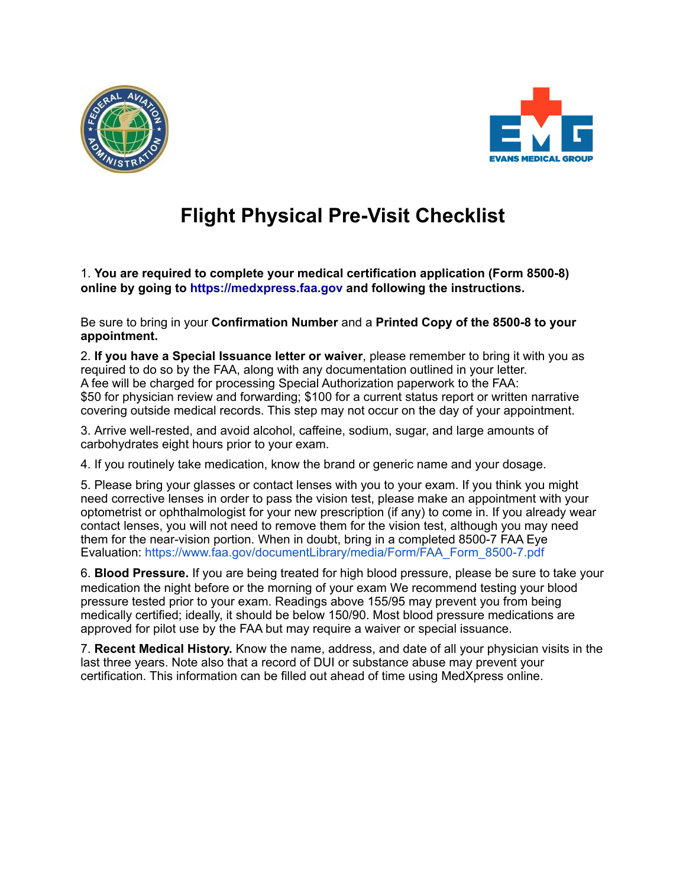



## **Flight Physical Pre-Visit Checklist**

1. **You are required to complete your medical certification application (Form 8500-8) online by going to https://medxpress.faa.gov and following the instructions.**

Be sure to bring in your **Confirmation Number** and a **Printed Copy of the 8500-8 to your appointment.** 

2. **If you have a Special Issuance letter or waiver**, please remember to bring it with you as required to do so by the FAA, along with any documentation outlined in your letter. A fee will be charged for processing Special Authorization paperwork to the FAA: \$50 for physician review and forwarding; \$100 for a current status report or written narrative covering outside medical records. This step may not occur on the day of your appointment.

3. Arrive well-rested, and avoid alcohol, caffeine, sodium, sugar, and large amounts of carbohydrates eight hours prior to your exam.

4. If you routinely take medication, know the brand or generic name and your dosage.

5. Please bring your glasses or contact lenses with you to your exam. If you think you might need corrective lenses in order to pass the vision test, please make an appointment with your optometrist or ophthalmologist for your new prescription (if any) to come in. If you already wear contact lenses, you will not need to remove them for the vision test, although you may need them for the near-vision portion. When in doubt, bring in a completed 8500-7 FAA Eye Evaluation: https://www.faa.gov/documentLibrary/media/Form/FAA\_Form\_8500-7.pdf

6. **Blood Pressure.** If you are being treated for high blood pressure, please be sure to take your medication the night before or the morning of your exam We recommend testing your blood pressure tested prior to your exam. Readings above 155/95 may prevent you from being medically certified; ideally, it should be below 150/90. Most blood pressure medications are approved for pilot use by the FAA but may require a waiver or special issuance.

7. **Recent Medical History.** Know the name, address, and date of all your physician visits in the last three years. Note also that a record of DUI or substance abuse may prevent your certification. This information can be filled out ahead of time using MedXpress online.